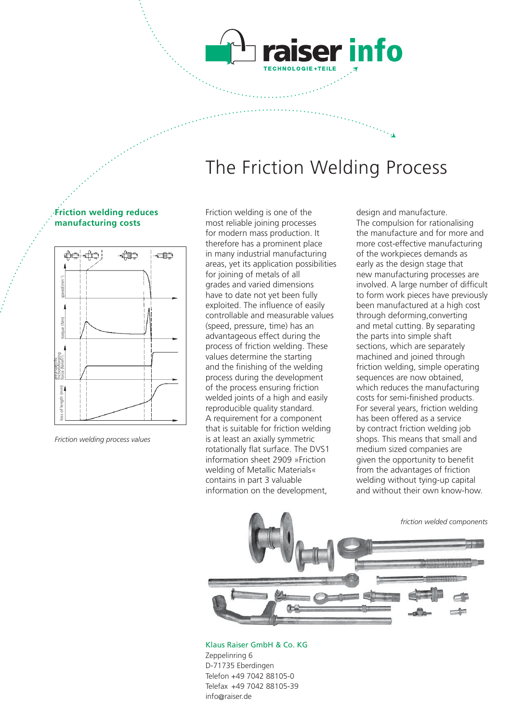## The Friction Welding Process

iser info

#### **Friction welding reduces manufacturing costs**



Friction welding is one of the most reliable joining processes for modern mass production. It therefore has a prominent place in many industrial manufacturing areas, yet its application possibilities for joining of metals of all grades and varied dimensions have to date not yet been fully exploited. The influence of easily controllable and measurable values (speed, pressure, time) has an advantageous effect during the process of friction welding. These values determine the starting and the finishing of the welding process during the development of the process ensuring friction welded joints of a high and easily reproducible quality standard. A requirement for a component that is suitable for friction welding is at least an axially symmetric rotationally flat surface. The DVS1 information sheet 2909 »Friction welding of Metallic Materials« contains in part 3 valuable information on the development,

design and manufacture. The compulsion for rationalising the manufacture and for more and more cost-effective manufacturing of the workpieces demands as early as the design stage that new manufacturing processes are involved. A large number of difficult to form work pieces have previously been manufactured at a high cost through deforming,converting and metal cutting. By separating the parts into simple shaft sections, which are separately machined and joined through friction welding, simple operating sequences are now obtained, which reduces the manufacturing costs for semi-finished products. For several years, friction welding has been offered as a service by contract friction welding job shops. This means that small and medium sized companies are given the opportunity to benefit from the advantages of friction welding without tying-up capital and without their own know-how.

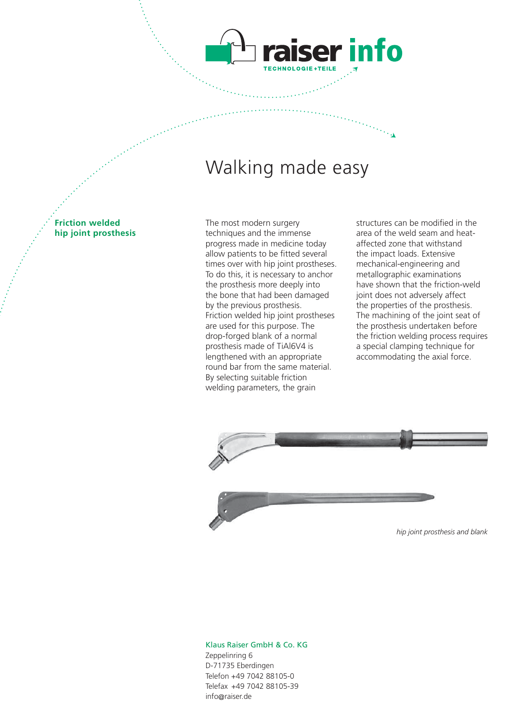### Walking made easy

ser info

**Friction welded hip joint prosthesis** The most modern surgery techniques and the immense progress made in medicine today allow patients to be fitted several times over with hip joint prostheses. To do this, it is necessary to anchor the prosthesis more deeply into the bone that had been damaged by the previous prosthesis. Friction welded hip joint prostheses are used for this purpose. The drop-forged blank of a normal prosthesis made of TiAl6V4 is lengthened with an appropriate round bar from the same material. By selecting suitable friction welding parameters, the grain

structures can be modified in the area of the weld seam and heataffected zone that withstand the impact loads. Extensive mechanical-engineering and metallographic examinations have shown that the friction-weld joint does not adversely affect the properties of the prosthesis. The machining of the joint seat of the prosthesis undertaken before the friction welding process requires a special clamping technique for accommodating the axial force.



*hip joint prosthesis and blank*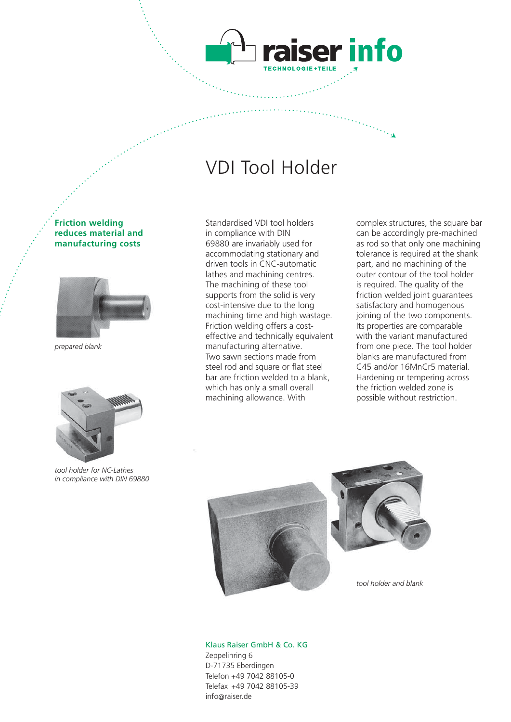### VDI Tool Holder

aiser info

#### **Friction welding reduces material and manufacturing costs**



*prepared blank*



*tool holder for NC-Lathes in compliance with DIN 69880*

Standardised VDI tool holders in compliance with DIN 69880 are invariably used for accommodating stationary and driven tools in CNC-automatic lathes and machining centres. The machining of these tool supports from the solid is very cost-intensive due to the long machining time and high wastage. Friction welding offers a costeffective and technically equivalent manufacturing alternative. Two sawn sections made from steel rod and square or flat steel bar are friction welded to a blank, which has only a small overall machining allowance. With

complex structures, the square bar can be accordingly pre-machined as rod so that only one machining tolerance is required at the shank part, and no machining of the outer contour of the tool holder is required. The quality of the friction welded joint guarantees satisfactory and homogenous joining of the two components. Its properties are comparable with the variant manufactured from one piece. The tool holder blanks are manufactured from C45 and/or 16MnCr5 material. Hardening or tempering across the friction welded zone is possible without restriction.





*tool holder and blank*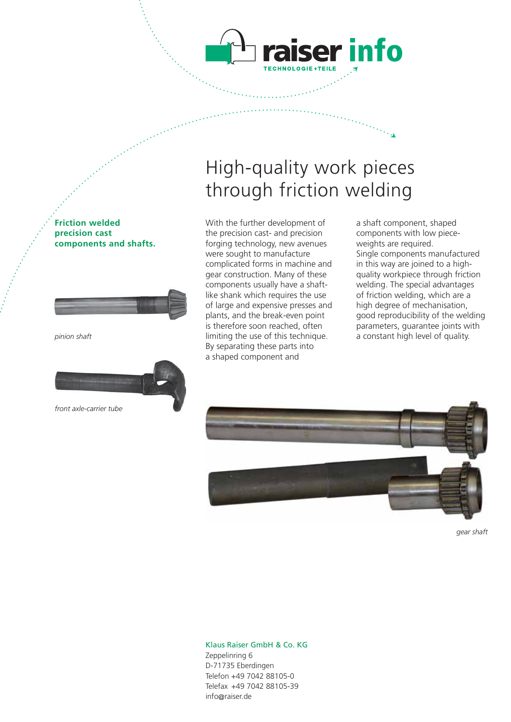

# High-quality work pieces through friction welding

With the further development of the precision cast- and precision forging technology, new avenues were sought to manufacture complicated forms in machine and gear construction. Many of these components usually have a shaftlike shank which requires the use of large and expensive presses and plants, and the break-even point is therefore soon reached, often limiting the use of this technique. By separating these parts into a shaped component and

a shaft component, shaped components with low pieceweights are required. Single components manufactured in this way are joined to a highquality workpiece through friction welding. The special advantages of friction welding, which are a high degree of mechanisation, good reproducibility of the welding parameters, guarantee joints with a constant high level of quality.

**Friction welded precision cast components and shafts.**



*pinion shaft*



*front axle-carrier tube*



*gear shaft*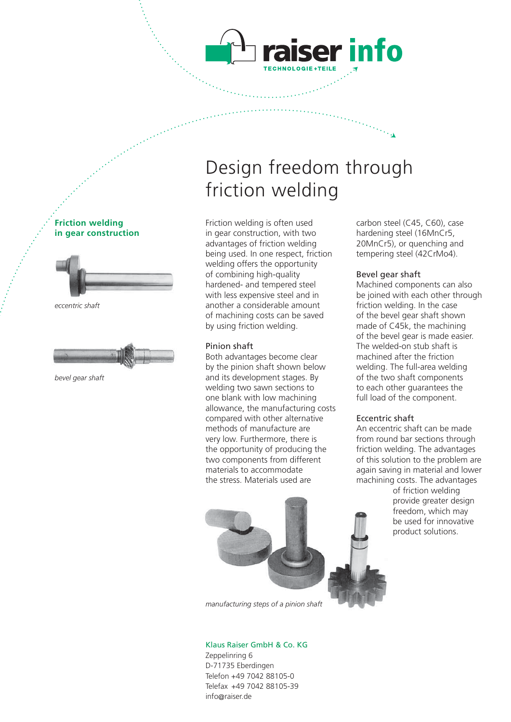# Design freedom through friction welding

iser info

Friction welding is often used in gear construction, with two advantages of friction welding being used. In one respect, friction welding offers the opportunity of combining high-quality hardened- and tempered steel with less expensive steel and in another a considerable amount of machining costs can be saved by using friction welding.

#### Pinion shaft

Both advantages become clear by the pinion shaft shown below and its development stages. By welding two sawn sections to one blank with low machining allowance, the manufacturing costs compared with other alternative methods of manufacture are very low. Furthermore, there is the opportunity of producing the two components from different materials to accommodate the stress. Materials used are

carbon steel (C45, C60), case hardening steel (16MnCr5, 20MnCr5), or quenching and tempering steel (42CrMo4).

#### Bevel gear shaft

Machined components can also be joined with each other through friction welding. In the case of the bevel gear shaft shown made of C45k, the machining of the bevel gear is made easier. The welded-on stub shaft is machined after the friction welding. The full-area welding of the two shaft components to each other guarantees the full load of the component.

#### Eccentric shaft

An eccentric shaft can be made from round bar sections through friction welding. The advantages of this solution to the problem are again saving in material and lower machining costs. The advantages

> of friction welding provide greater design freedom, which may be used for innovative product solutions.

Klaus Raiser GmbH & Co. KG Zeppelinring 6 D-71735 Eberdingen Telefon +49 7042 88105-0 Telefax +49 7042 88105-39

info@raiser.de





**Friction welding**





*bevel gear shaft*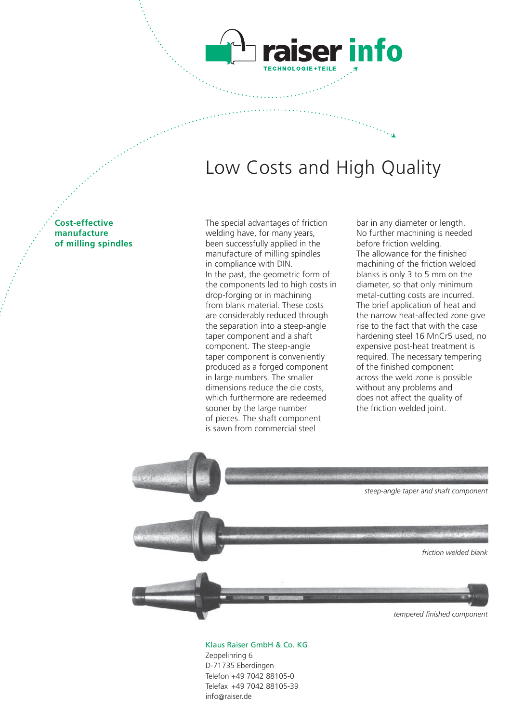

ser info

**Cost-effective manufacture of milling spindles** The special advantages of friction welding have, for many years, been successfully applied in the manufacture of milling spindles in compliance with DIN. In the past, the geometric form of the components led to high costs in drop-forging or in machining from blank material. These costs are considerably reduced through the separation into a steep-angle taper component and a shaft component. The steep-angle taper component is conveniently produced as a forged component in large numbers. The smaller dimensions reduce the die costs, which furthermore are redeemed sooner by the large number of pieces. The shaft component is sawn from commercial steel

bar in any diameter or length. No further machining is needed before friction welding. The allowance for the finished machining of the friction welded blanks is only 3 to 5 mm on the diameter, so that only minimum metal-cutting costs are incurred. The brief application of heat and the narrow heat-affected zone give rise to the fact that with the case hardening steel 16 MnCr5 used, no expensive post-heat treatment is required. The necessary tempering of the finished component across the weld zone is possible without any problems and does not affect the quality of the friction welded joint.

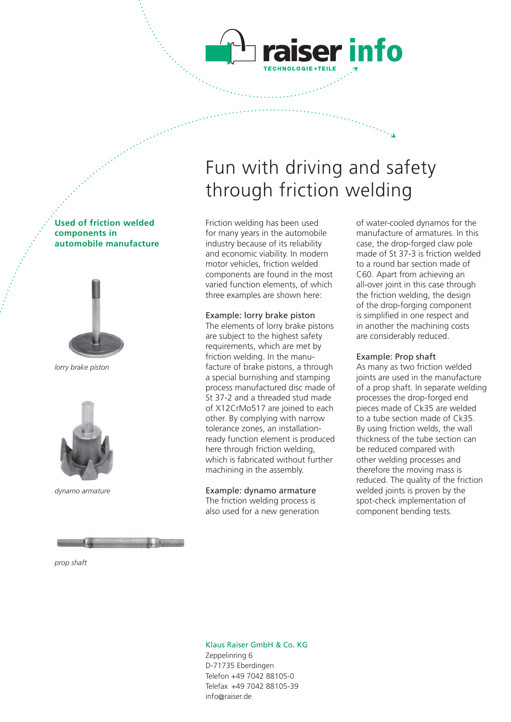# Fun with driving and safety through friction welding

ser info

Friction welding has been used for many years in the automobile industry because of its reliability and economic viability. In modern motor vehicles, friction welded components are found in the most varied function elements, of which three examples are shown here:

#### Example: lorry brake piston

The elements of lorry brake pistons are subject to the highest safety requirements, which are met by friction welding. In the manufacture of brake pistons, a through a special burnishing and stamping process manufactured disc made of St 37-2 and a threaded stud made of X12CrMo517 are joined to each other. By complying with narrow tolerance zones, an installationready function element is produced here through friction welding, which is fabricated without further machining in the assembly.

#### Example: dynamo armature

The friction welding process is also used for a new generation of water-cooled dynamos for the manufacture of armatures. In this case, the drop-forged claw pole made of St 37-3 is friction welded to a round bar section made of C60. Apart from achieving an all-over joint in this case through the friction welding, the design of the drop-forging component is simplified in one respect and in another the machining costs are considerably reduced.

#### Example: Prop shaft

As many as two friction welded joints are used in the manufacture of a prop shaft. In separate welding processes the drop-forged end pieces made of Ck35 are welded to a tube section made of Ck35. By using friction welds, the wall thickness of the tube section can be reduced compared with other welding processes and therefore the moving mass is reduced. The quality of the friction welded joints is proven by the spot-check implementation of component bending tests.

#### **Used of friction welded components in automobile manufacture**



*lorry brake piston*



*dynamo armature*



*prop shaft*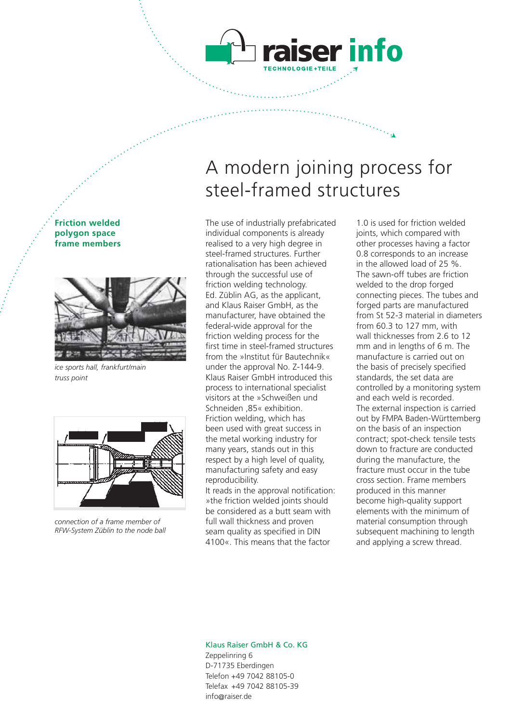# A modern joining process for steel-framed structures

ser info

The use of industrially prefabricated individual components is already realised to a very high degree in steel-framed structures. Further rationalisation has been achieved through the successful use of friction welding technology. Ed. Züblin AG, as the applicant, and Klaus Raiser GmbH, as the manufacturer, have obtained the federal-wide approval for the friction welding process for the first time in steel-framed structures from the »Institut für Bautechnik« under the approval No. Z-144-9. Klaus Raiser GmbH introduced this process to international specialist visitors at the »Schweißen und Schneiden ,85« exhibition. Friction welding, which has been used with great success in the metal working industry for many years, stands out in this respect by a high level of quality, manufacturing safety and easy reproducibility.

It reads in the approval notification: »the friction welded joints should be considered as a butt seam with full wall thickness and proven seam quality as specified in DIN 4100«. This means that the factor

1.0 is used for friction welded joints, which compared with other processes having a factor 0.8 corresponds to an increase in the allowed load of 25 %. The sawn-off tubes are friction welded to the drop forged connecting pieces. The tubes and forged parts are manufactured from St 52-3 material in diameters from 60.3 to 127 mm, with wall thicknesses from 2.6 to 12 mm and in lengths of 6 m. The manufacture is carried out on the basis of precisely specified standards, the set data are controlled by a monitoring system and each weld is recorded. The external inspection is carried out by FMPA Baden-Württemberg on the basis of an inspection contract; spot-check tensile tests down to fracture are conducted during the manufacture, the fracture must occur in the tube cross section. Frame members produced in this manner become high-quality support elements with the minimum of material consumption through subsequent machining to length and applying a screw thread.

#### Klaus Raiser GmbH & Co. KG Zeppelinring 6 D-71735 Eberdingen Telefon +49 7042 88105-0 Telefax +49 7042 88105-39 info@raiser.de

### **polygon space frame members**

**Friction welded** 



*ice sports hall, frankfurt/main truss point*

*connection of a frame member of RFW-System Züblin to the node ball*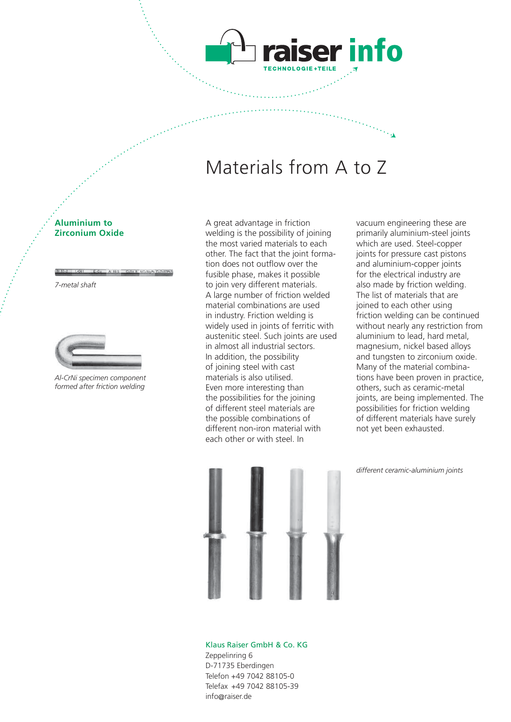

er info

#### **Aluminium to Zirconium Oxide**

*7-metal shaft*



*Al-CrNi specimen component formed after friction welding*

A great advantage in friction welding is the possibility of joining the most varied materials to each other. The fact that the joint formation does not outflow over the fusible phase, makes it possible to join very different materials. A large number of friction welded material combinations are used in industry. Friction welding is widely used in joints of ferritic with austenitic steel. Such joints are used in almost all industrial sectors. In addition, the possibility of joining steel with cast materials is also utilised. Even more interesting than the possibilities for the joining of different steel materials are the possible combinations of different non-iron material with each other or with steel. In

vacuum engineering these are primarily aluminium-steel joints which are used. Steel-copper joints for pressure cast pistons and aluminium-copper joints for the electrical industry are also made by friction welding. The list of materials that are joined to each other using friction welding can be continued without nearly any restriction from aluminium to lead, hard metal, magnesium, nickel based alloys and tungsten to zirconium oxide. Many of the material combinations have been proven in practice, others, such as ceramic-metal joints, are being implemented. The possibilities for friction welding of different materials have surely not yet been exhausted.

*different ceramic-aluminium joints*

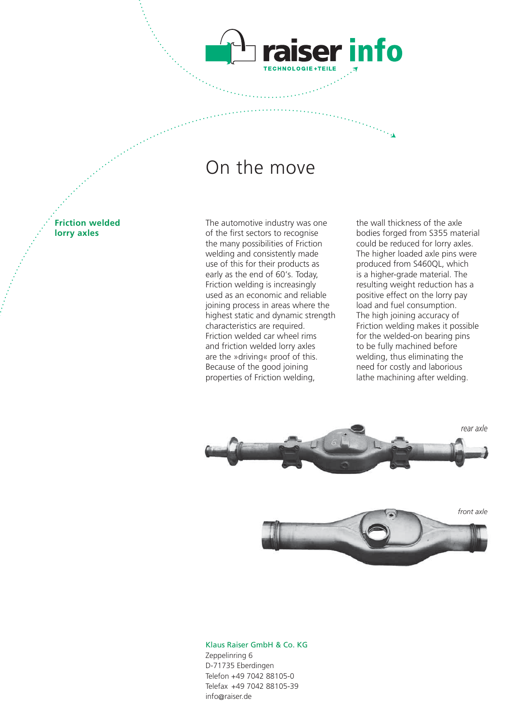### On the move

**Friction welded lorry axles**

The automotive industry was one of the first sectors to recognise the many possibilities of Friction welding and consistently made use of this for their products as early as the end of 60's. Today, Friction welding is increasingly used as an economic and reliable joining process in areas where the highest static and dynamic strength characteristics are required. Friction welded car wheel rims and friction welded lorry axles are the »driving« proof of this. Because of the good joining properties of Friction welding,

the wall thickness of the axle bodies forged from S355 material could be reduced for lorry axles. The higher loaded axle pins were produced from S460QL, which is a higher-grade material. The resulting weight reduction has a positive effect on the lorry pay load and fuel consumption. The high joining accuracy of Friction welding makes it possible for the welded-on bearing pins to be fully machined before welding, thus eliminating the need for costly and laborious lathe machining after welding.



ser info